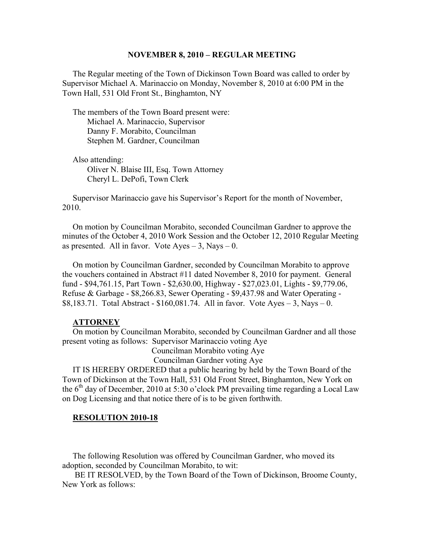#### **NOVEMBER 8, 2010 – REGULAR MEETING**

 The Regular meeting of the Town of Dickinson Town Board was called to order by Supervisor Michael A. Marinaccio on Monday, November 8, 2010 at 6:00 PM in the Town Hall, 531 Old Front St., Binghamton, NY

 The members of the Town Board present were: Michael A. Marinaccio, Supervisor Danny F. Morabito, Councilman Stephen M. Gardner, Councilman

 Also attending: Oliver N. Blaise III, Esq. Town Attorney Cheryl L. DePofi, Town Clerk

 Supervisor Marinaccio gave his Supervisor's Report for the month of November, 2010.

 On motion by Councilman Morabito, seconded Councilman Gardner to approve the minutes of the October 4, 2010 Work Session and the October 12, 2010 Regular Meeting as presented. All in favor. Vote  $Ayes - 3$ , Nays  $-0$ .

 On motion by Councilman Gardner, seconded by Councilman Morabito to approve the vouchers contained in Abstract #11 dated November 8, 2010 for payment. General fund - \$94,761.15, Part Town - \$2,630.00, Highway - \$27,023.01, Lights - \$9,779.06, Refuse & Garbage - \$8,266.83, Sewer Operating - \$9,437.98 and Water Operating - \$8,183.71. Total Abstract -  $$160,081.74$ . All in favor. Vote Ayes - 3, Nays - 0.

#### **ATTORNEY**

 On motion by Councilman Morabito, seconded by Councilman Gardner and all those present voting as follows: Supervisor Marinaccio voting Aye Councilman Morabito voting Aye

Councilman Gardner voting Aye

 IT IS HEREBY ORDERED that a public hearing by held by the Town Board of the Town of Dickinson at the Town Hall, 531 Old Front Street, Binghamton, New York on the  $6<sup>th</sup>$  day of December, 2010 at 5:30 o'clock PM prevailing time regarding a Local Law on Dog Licensing and that notice there of is to be given forthwith.

#### **RESOLUTION 2010-18**

 The following Resolution was offered by Councilman Gardner, who moved its adoption, seconded by Councilman Morabito, to wit:

 BE IT RESOLVED, by the Town Board of the Town of Dickinson, Broome County, New York as follows: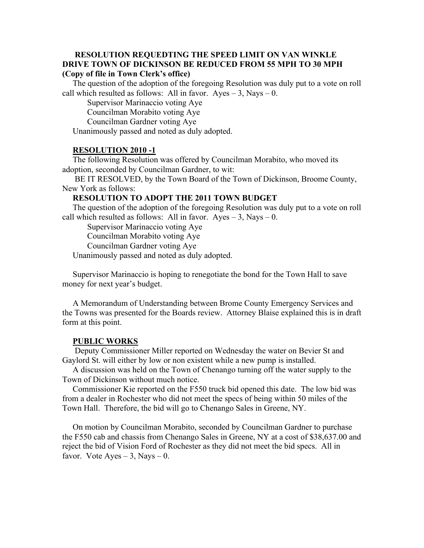#### **RESOLUTION REQUEDTING THE SPEED LIMIT ON VAN WINKLE DRIVE TOWN OF DICKINSON BE REDUCED FROM 55 MPH TO 30 MPH (Copy of file in Town Clerk's office)**

 The question of the adoption of the foregoing Resolution was duly put to a vote on roll call which resulted as follows: All in favor.  $Ayes - 3$ , Nays – 0.

Supervisor Marinaccio voting Aye

Councilman Morabito voting Aye

Councilman Gardner voting Aye

Unanimously passed and noted as duly adopted.

## **RESOLUTION 2010 -1**

 The following Resolution was offered by Councilman Morabito, who moved its adoption, seconded by Councilman Gardner, to wit:

 BE IT RESOLVED, by the Town Board of the Town of Dickinson, Broome County, New York as follows:

### **RESOLUTION TO ADOPT THE 2011 TOWN BUDGET**

 The question of the adoption of the foregoing Resolution was duly put to a vote on roll call which resulted as follows: All in favor.  $Ayes - 3$ , Nays – 0.

Supervisor Marinaccio voting Aye

Councilman Morabito voting Aye

Councilman Gardner voting Aye

Unanimously passed and noted as duly adopted.

 Supervisor Marinaccio is hoping to renegotiate the bond for the Town Hall to save money for next year's budget.

 A Memorandum of Understanding between Brome County Emergency Services and the Towns was presented for the Boards review. Attorney Blaise explained this is in draft form at this point.

### **PUBLIC WORKS**

 Deputy Commissioner Miller reported on Wednesday the water on Bevier St and Gaylord St. will either by low or non existent while a new pump is installed.

 A discussion was held on the Town of Chenango turning off the water supply to the Town of Dickinson without much notice.

 Commissioner Kie reported on the F550 truck bid opened this date. The low bid was from a dealer in Rochester who did not meet the specs of being within 50 miles of the Town Hall. Therefore, the bid will go to Chenango Sales in Greene, NY.

 On motion by Councilman Morabito, seconded by Councilman Gardner to purchase the F550 cab and chassis from Chenango Sales in Greene, NY at a cost of \$38,637.00 and reject the bid of Vision Ford of Rochester as they did not meet the bid specs. All in favor. Vote  $Ayes - 3$ , Nays  $- 0$ .